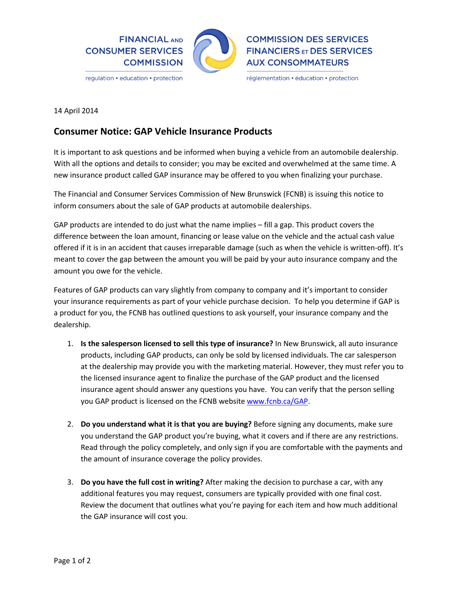

**COMMISSION DES SERVICES FINANCIERS ET DES SERVICES AUX CONSOMMATEURS** 

réglementation · éducation · protection

14 April 2014

### **Consumer Notice: GAP Vehicle Insurance Products**

It is important to ask questions and be informed when buying a vehicle from an automobile dealership. With all the options and details to consider; you may be excited and overwhelmed at the same time. A new insurance product called GAP insurance may be offered to you when finalizing your purchase.

The Financial and Consumer Services Commission of New Brunswick (FCNB) is issuing this notice to inform consumers about the sale of GAP products at automobile dealerships.

GAP products are intended to do just what the name implies – fill a gap. This product covers the difference between the loan amount, financing or lease value on the vehicle and the actual cash value offered if it is in an accident that causes irreparable damage (such as when the vehicle is written-off). It's meant to cover the gap between the amount you will be paid by your auto insurance company and the amount you owe for the vehicle.

Features of GAP products can vary slightly from company to company and it's important to consider your insurance requirements as part of your vehicle purchase decision. To help you determine if GAP is a product for you, the FCNB has outlined questions to ask yourself, your insurance company and the dealership.

- 1. **Is the salesperson licensed to sell this type of insurance?** In New Brunswick, all auto insurance products, including GAP products, can only be sold by licensed individuals. The car salesperson at the dealership may provide you with the marketing material. However, they must refer you to the licensed insurance agent to finalize the purchase of the GAP product and the licensed insurance agent should answer any questions you have. You can verify that the person selling you GAP product is licensed on the FCNB website [www.fcnb.ca/GAP.](http://www.fcnb.ca/GAP)
- 2. **Do you understand what it is that you are buying?** Before signing any documents, make sure you understand the GAP product you're buying, what it covers and if there are any restrictions. Read through the policy completely, and only sign if you are comfortable with the payments and the amount of insurance coverage the policy provides.
- 3. **Do you have the full cost in writing?** After making the decision to purchase a car, with any additional features you may request, consumers are typically provided with one final cost. Review the document that outlines what you're paying for each item and how much additional the GAP insurance will cost you.